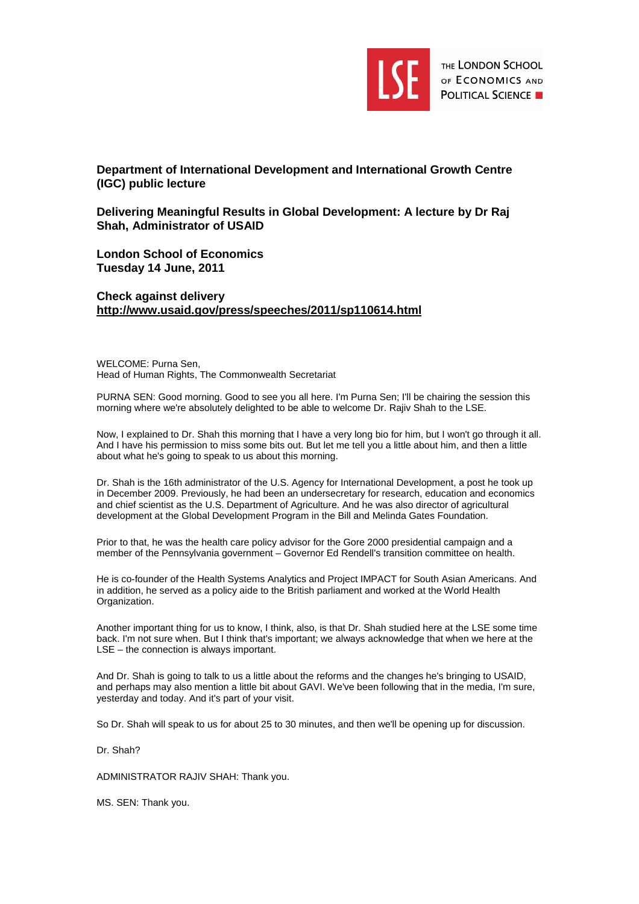

**Department of International Development and International Growth Centre (IGC) public lecture** 

**Delivering Meaningful Results in Global Development: A lecture by Dr Raj Shah, Administrator of USAID** 

**London School of Economics Tuesday 14 June, 2011** 

**Check against delivery http://www.usaid.gov/press/speeches/2011/sp110614.html** 

WELCOME: Purna Sen, Head of Human Rights, The Commonwealth Secretariat

PURNA SEN: Good morning. Good to see you all here. I'm Purna Sen; I'll be chairing the session this morning where we're absolutely delighted to be able to welcome Dr. Rajiv Shah to the LSE.

Now, I explained to Dr. Shah this morning that I have a very long bio for him, but I won't go through it all. And I have his permission to miss some bits out. But let me tell you a little about him, and then a little about what he's going to speak to us about this morning.

Dr. Shah is the 16th administrator of the U.S. Agency for International Development, a post he took up in December 2009. Previously, he had been an undersecretary for research, education and economics and chief scientist as the U.S. Department of Agriculture. And he was also director of agricultural development at the Global Development Program in the Bill and Melinda Gates Foundation.

Prior to that, he was the health care policy advisor for the Gore 2000 presidential campaign and a member of the Pennsylvania government – Governor Ed Rendell's transition committee on health.

He is co-founder of the Health Systems Analytics and Project IMPACT for South Asian Americans. And in addition, he served as a policy aide to the British parliament and worked at the World Health Organization.

Another important thing for us to know, I think, also, is that Dr. Shah studied here at the LSE some time back. I'm not sure when. But I think that's important; we always acknowledge that when we here at the LSE – the connection is always important.

And Dr. Shah is going to talk to us a little about the reforms and the changes he's bringing to USAID, and perhaps may also mention a little bit about GAVI. We've been following that in the media, I'm sure, yesterday and today. And it's part of your visit.

So Dr. Shah will speak to us for about 25 to 30 minutes, and then we'll be opening up for discussion.

Dr. Shah?

ADMINISTRATOR RAJIV SHAH: Thank you.

MS. SEN: Thank you.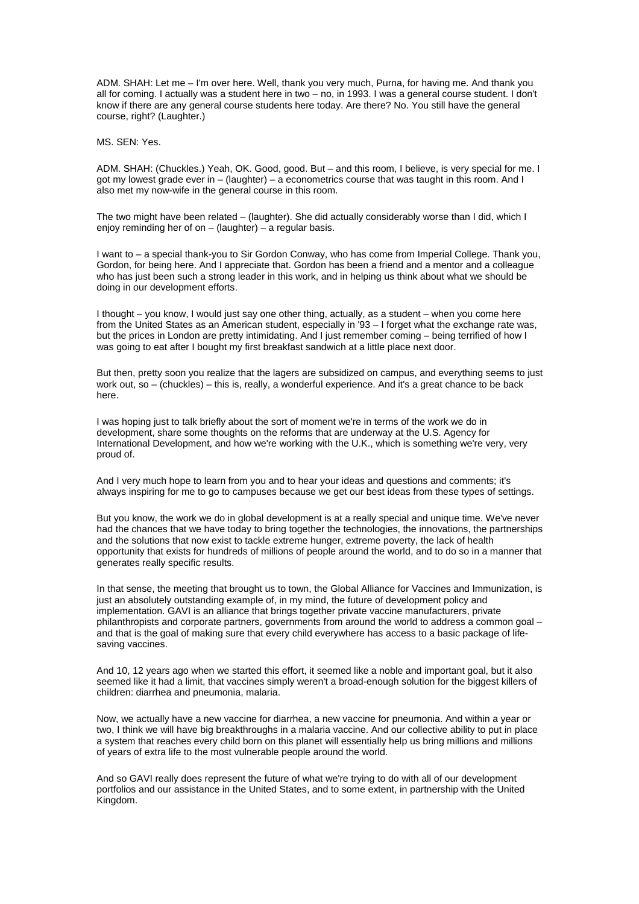ADM. SHAH: Let me – I'm over here. Well, thank you very much, Purna, for having me. And thank you all for coming. I actually was a student here in two – no, in 1993. I was a general course student. I don't know if there are any general course students here today. Are there? No. You still have the general course, right? (Laughter.)

MS. SEN: Yes.

ADM. SHAH: (Chuckles.) Yeah, OK. Good, good. But – and this room, I believe, is very special for me. I got my lowest grade ever in – (laughter) – a econometrics course that was taught in this room. And I also met my now-wife in the general course in this room.

The two might have been related – (laughter). She did actually considerably worse than I did, which I enjoy reminding her of on – (laughter) – a regular basis.

I want to – a special thank-you to Sir Gordon Conway, who has come from Imperial College. Thank you, Gordon, for being here. And I appreciate that. Gordon has been a friend and a mentor and a colleague who has just been such a strong leader in this work, and in helping us think about what we should be doing in our development efforts.

I thought – you know, I would just say one other thing, actually, as a student – when you come here from the United States as an American student, especially in '93 – I forget what the exchange rate was, but the prices in London are pretty intimidating. And I just remember coming – being terrified of how I was going to eat after I bought my first breakfast sandwich at a little place next door.

But then, pretty soon you realize that the lagers are subsidized on campus, and everything seems to just work out, so – (chuckles) – this is, really, a wonderful experience. And it's a great chance to be back here.

I was hoping just to talk briefly about the sort of moment we're in terms of the work we do in development, share some thoughts on the reforms that are underway at the U.S. Agency for International Development, and how we're working with the U.K., which is something we're very, very proud of.

And I very much hope to learn from you and to hear your ideas and questions and comments; it's always inspiring for me to go to campuses because we get our best ideas from these types of settings.

But you know, the work we do in global development is at a really special and unique time. We've never had the chances that we have today to bring together the technologies, the innovations, the partnerships and the solutions that now exist to tackle extreme hunger, extreme poverty, the lack of health opportunity that exists for hundreds of millions of people around the world, and to do so in a manner that generates really specific results.

In that sense, the meeting that brought us to town, the Global Alliance for Vaccines and Immunization, is just an absolutely outstanding example of, in my mind, the future of development policy and implementation. GAVI is an alliance that brings together private vaccine manufacturers, private philanthropists and corporate partners, governments from around the world to address a common goal – and that is the goal of making sure that every child everywhere has access to a basic package of lifesaving vaccines.

And 10, 12 years ago when we started this effort, it seemed like a noble and important goal, but it also seemed like it had a limit, that vaccines simply weren't a broad-enough solution for the biggest killers of children: diarrhea and pneumonia, malaria.

Now, we actually have a new vaccine for diarrhea, a new vaccine for pneumonia. And within a year or two, I think we will have big breakthroughs in a malaria vaccine. And our collective ability to put in place a system that reaches every child born on this planet will essentially help us bring millions and millions of years of extra life to the most vulnerable people around the world.

And so GAVI really does represent the future of what we're trying to do with all of our development portfolios and our assistance in the United States, and to some extent, in partnership with the United Kingdom.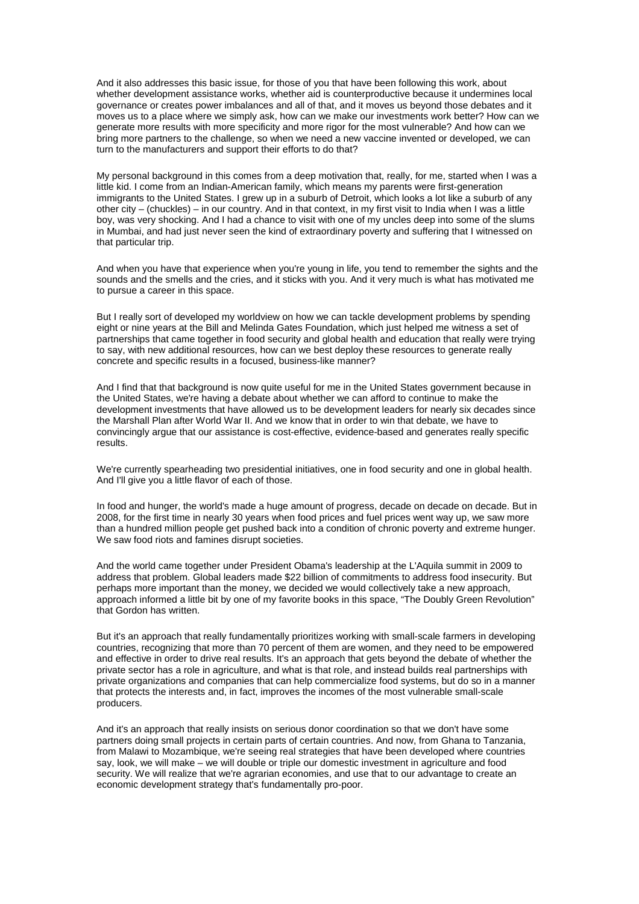And it also addresses this basic issue, for those of you that have been following this work, about whether development assistance works, whether aid is counterproductive because it undermines local governance or creates power imbalances and all of that, and it moves us beyond those debates and it moves us to a place where we simply ask, how can we make our investments work better? How can we generate more results with more specificity and more rigor for the most vulnerable? And how can we bring more partners to the challenge, so when we need a new vaccine invented or developed, we can turn to the manufacturers and support their efforts to do that?

My personal background in this comes from a deep motivation that, really, for me, started when I was a little kid. I come from an Indian-American family, which means my parents were first-generation immigrants to the United States. I grew up in a suburb of Detroit, which looks a lot like a suburb of any other city – (chuckles) – in our country. And in that context, in my first visit to India when I was a little boy, was very shocking. And I had a chance to visit with one of my uncles deep into some of the slums in Mumbai, and had just never seen the kind of extraordinary poverty and suffering that I witnessed on that particular trip.

And when you have that experience when you're young in life, you tend to remember the sights and the sounds and the smells and the cries, and it sticks with you. And it very much is what has motivated me to pursue a career in this space.

But I really sort of developed my worldview on how we can tackle development problems by spending eight or nine years at the Bill and Melinda Gates Foundation, which just helped me witness a set of partnerships that came together in food security and global health and education that really were trying to say, with new additional resources, how can we best deploy these resources to generate really concrete and specific results in a focused, business-like manner?

And I find that that background is now quite useful for me in the United States government because in the United States, we're having a debate about whether we can afford to continue to make the development investments that have allowed us to be development leaders for nearly six decades since the Marshall Plan after World War II. And we know that in order to win that debate, we have to convincingly argue that our assistance is cost-effective, evidence-based and generates really specific results.

We're currently spearheading two presidential initiatives, one in food security and one in global health. And I'll give you a little flavor of each of those.

In food and hunger, the world's made a huge amount of progress, decade on decade on decade. But in 2008, for the first time in nearly 30 years when food prices and fuel prices went way up, we saw more than a hundred million people get pushed back into a condition of chronic poverty and extreme hunger. We saw food riots and famines disrupt societies.

And the world came together under President Obama's leadership at the L'Aquila summit in 2009 to address that problem. Global leaders made \$22 billion of commitments to address food insecurity. But perhaps more important than the money, we decided we would collectively take a new approach, approach informed a little bit by one of my favorite books in this space, "The Doubly Green Revolution" that Gordon has written.

But it's an approach that really fundamentally prioritizes working with small-scale farmers in developing countries, recognizing that more than 70 percent of them are women, and they need to be empowered and effective in order to drive real results. It's an approach that gets beyond the debate of whether the private sector has a role in agriculture, and what is that role, and instead builds real partnerships with private organizations and companies that can help commercialize food systems, but do so in a manner that protects the interests and, in fact, improves the incomes of the most vulnerable small-scale producers.

And it's an approach that really insists on serious donor coordination so that we don't have some partners doing small projects in certain parts of certain countries. And now, from Ghana to Tanzania, from Malawi to Mozambique, we're seeing real strategies that have been developed where countries say, look, we will make – we will double or triple our domestic investment in agriculture and food security. We will realize that we're agrarian economies, and use that to our advantage to create an economic development strategy that's fundamentally pro-poor.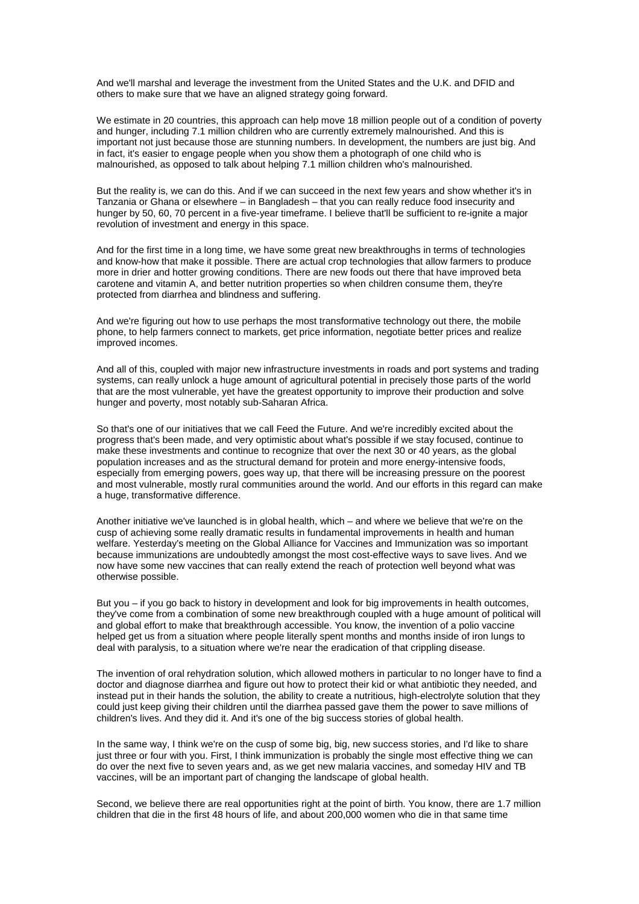And we'll marshal and leverage the investment from the United States and the U.K. and DFID and others to make sure that we have an aligned strategy going forward.

We estimate in 20 countries, this approach can help move 18 million people out of a condition of poverty and hunger, including 7.1 million children who are currently extremely malnourished. And this is important not just because those are stunning numbers. In development, the numbers are just big. And in fact, it's easier to engage people when you show them a photograph of one child who is malnourished, as opposed to talk about helping 7.1 million children who's malnourished.

But the reality is, we can do this. And if we can succeed in the next few years and show whether it's in Tanzania or Ghana or elsewhere – in Bangladesh – that you can really reduce food insecurity and hunger by 50, 60, 70 percent in a five-year timeframe. I believe that'll be sufficient to re-ignite a major revolution of investment and energy in this space.

And for the first time in a long time, we have some great new breakthroughs in terms of technologies and know-how that make it possible. There are actual crop technologies that allow farmers to produce more in drier and hotter growing conditions. There are new foods out there that have improved beta carotene and vitamin A, and better nutrition properties so when children consume them, they're protected from diarrhea and blindness and suffering.

And we're figuring out how to use perhaps the most transformative technology out there, the mobile phone, to help farmers connect to markets, get price information, negotiate better prices and realize improved incomes.

And all of this, coupled with major new infrastructure investments in roads and port systems and trading systems, can really unlock a huge amount of agricultural potential in precisely those parts of the world that are the most vulnerable, yet have the greatest opportunity to improve their production and solve hunger and poverty, most notably sub-Saharan Africa.

So that's one of our initiatives that we call Feed the Future. And we're incredibly excited about the progress that's been made, and very optimistic about what's possible if we stay focused, continue to make these investments and continue to recognize that over the next 30 or 40 years, as the global population increases and as the structural demand for protein and more energy-intensive foods, especially from emerging powers, goes way up, that there will be increasing pressure on the poorest and most vulnerable, mostly rural communities around the world. And our efforts in this regard can make a huge, transformative difference.

Another initiative we've launched is in global health, which – and where we believe that we're on the cusp of achieving some really dramatic results in fundamental improvements in health and human welfare. Yesterday's meeting on the Global Alliance for Vaccines and Immunization was so important because immunizations are undoubtedly amongst the most cost-effective ways to save lives. And we now have some new vaccines that can really extend the reach of protection well beyond what was otherwise possible.

But you – if you go back to history in development and look for big improvements in health outcomes, they've come from a combination of some new breakthrough coupled with a huge amount of political will and global effort to make that breakthrough accessible. You know, the invention of a polio vaccine helped get us from a situation where people literally spent months and months inside of iron lungs to deal with paralysis, to a situation where we're near the eradication of that crippling disease.

The invention of oral rehydration solution, which allowed mothers in particular to no longer have to find a doctor and diagnose diarrhea and figure out how to protect their kid or what antibiotic they needed, and instead put in their hands the solution, the ability to create a nutritious, high-electrolyte solution that they could just keep giving their children until the diarrhea passed gave them the power to save millions of children's lives. And they did it. And it's one of the big success stories of global health.

In the same way, I think we're on the cusp of some big, big, new success stories, and I'd like to share just three or four with you. First, I think immunization is probably the single most effective thing we can do over the next five to seven years and, as we get new malaria vaccines, and someday HIV and TB vaccines, will be an important part of changing the landscape of global health.

Second, we believe there are real opportunities right at the point of birth. You know, there are 1.7 million children that die in the first 48 hours of life, and about 200,000 women who die in that same time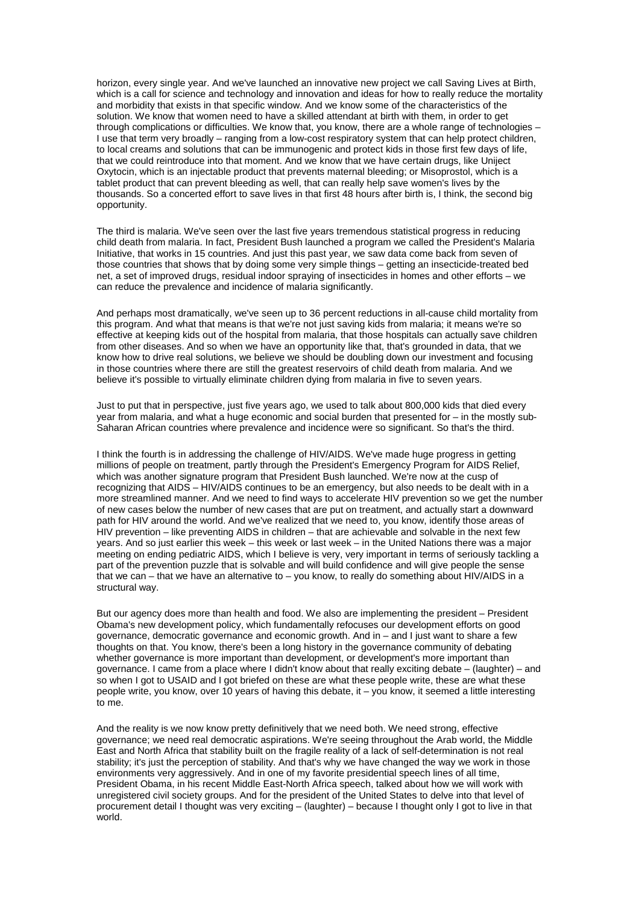horizon, every single year. And we've launched an innovative new project we call Saving Lives at Birth, which is a call for science and technology and innovation and ideas for how to really reduce the mortality and morbidity that exists in that specific window. And we know some of the characteristics of the solution. We know that women need to have a skilled attendant at birth with them, in order to get through complications or difficulties. We know that, you know, there are a whole range of technologies – I use that term very broadly – ranging from a low-cost respiratory system that can help protect children, to local creams and solutions that can be immunogenic and protect kids in those first few days of life, that we could reintroduce into that moment. And we know that we have certain drugs, like Uniject Oxytocin, which is an injectable product that prevents maternal bleeding; or Misoprostol, which is a tablet product that can prevent bleeding as well, that can really help save women's lives by the thousands. So a concerted effort to save lives in that first 48 hours after birth is, I think, the second big opportunity.

The third is malaria. We've seen over the last five years tremendous statistical progress in reducing child death from malaria. In fact, President Bush launched a program we called the President's Malaria Initiative, that works in 15 countries. And just this past year, we saw data come back from seven of those countries that shows that by doing some very simple things – getting an insecticide-treated bed net, a set of improved drugs, residual indoor spraying of insecticides in homes and other efforts – we can reduce the prevalence and incidence of malaria significantly.

And perhaps most dramatically, we've seen up to 36 percent reductions in all-cause child mortality from this program. And what that means is that we're not just saving kids from malaria; it means we're so effective at keeping kids out of the hospital from malaria, that those hospitals can actually save children from other diseases. And so when we have an opportunity like that, that's grounded in data, that we know how to drive real solutions, we believe we should be doubling down our investment and focusing in those countries where there are still the greatest reservoirs of child death from malaria. And we believe it's possible to virtually eliminate children dying from malaria in five to seven years.

Just to put that in perspective, just five years ago, we used to talk about 800,000 kids that died every year from malaria, and what a huge economic and social burden that presented for – in the mostly sub-Saharan African countries where prevalence and incidence were so significant. So that's the third.

I think the fourth is in addressing the challenge of HIV/AIDS. We've made huge progress in getting millions of people on treatment, partly through the President's Emergency Program for AIDS Relief, which was another signature program that President Bush launched. We're now at the cusp of recognizing that AIDS – HIV/AIDS continues to be an emergency, but also needs to be dealt with in a more streamlined manner. And we need to find ways to accelerate HIV prevention so we get the number of new cases below the number of new cases that are put on treatment, and actually start a downward path for HIV around the world. And we've realized that we need to, you know, identify those areas of HIV prevention – like preventing AIDS in children – that are achievable and solvable in the next few years. And so just earlier this week – this week or last week – in the United Nations there was a major meeting on ending pediatric AIDS, which I believe is very, very important in terms of seriously tackling a part of the prevention puzzle that is solvable and will build confidence and will give people the sense that we can – that we have an alternative to – you know, to really do something about HIV/AIDS in a structural way.

But our agency does more than health and food. We also are implementing the president – President Obama's new development policy, which fundamentally refocuses our development efforts on good governance, democratic governance and economic growth. And in – and I just want to share a few thoughts on that. You know, there's been a long history in the governance community of debating whether governance is more important than development, or development's more important than governance. I came from a place where I didn't know about that really exciting debate – (laughter) – and so when I got to USAID and I got briefed on these are what these people write, these are what these people write, you know, over 10 years of having this debate, it – you know, it seemed a little interesting to me.

And the reality is we now know pretty definitively that we need both. We need strong, effective governance; we need real democratic aspirations. We're seeing throughout the Arab world, the Middle East and North Africa that stability built on the fragile reality of a lack of self-determination is not real stability; it's just the perception of stability. And that's why we have changed the way we work in those environments very aggressively. And in one of my favorite presidential speech lines of all time, President Obama, in his recent Middle East-North Africa speech, talked about how we will work with unregistered civil society groups. And for the president of the United States to delve into that level of procurement detail I thought was very exciting – (laughter) – because I thought only I got to live in that world.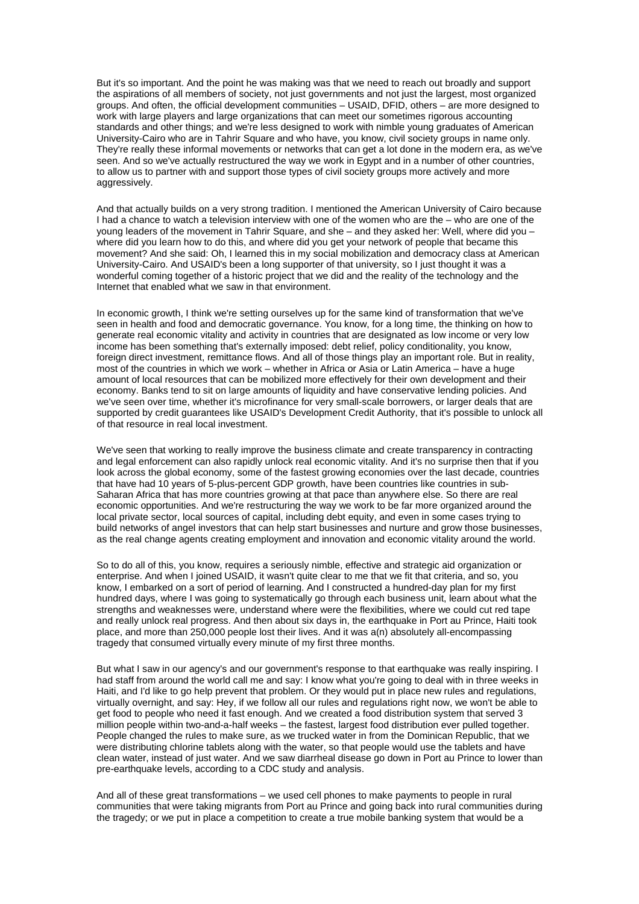But it's so important. And the point he was making was that we need to reach out broadly and support the aspirations of all members of society, not just governments and not just the largest, most organized groups. And often, the official development communities – USAID, DFID, others – are more designed to work with large players and large organizations that can meet our sometimes rigorous accounting standards and other things; and we're less designed to work with nimble young graduates of American University-Cairo who are in Tahrir Square and who have, you know, civil society groups in name only. They're really these informal movements or networks that can get a lot done in the modern era, as we've seen. And so we've actually restructured the way we work in Egypt and in a number of other countries, to allow us to partner with and support those types of civil society groups more actively and more aggressively.

And that actually builds on a very strong tradition. I mentioned the American University of Cairo because I had a chance to watch a television interview with one of the women who are the – who are one of the young leaders of the movement in Tahrir Square, and she – and they asked her: Well, where did you – where did you learn how to do this, and where did you get your network of people that became this movement? And she said: Oh, I learned this in my social mobilization and democracy class at American University-Cairo. And USAID's been a long supporter of that university, so I just thought it was a wonderful coming together of a historic project that we did and the reality of the technology and the Internet that enabled what we saw in that environment.

In economic growth, I think we're setting ourselves up for the same kind of transformation that we've seen in health and food and democratic governance. You know, for a long time, the thinking on how to generate real economic vitality and activity in countries that are designated as low income or very low income has been something that's externally imposed: debt relief, policy conditionality, you know, foreign direct investment, remittance flows. And all of those things play an important role. But in reality, most of the countries in which we work – whether in Africa or Asia or Latin America – have a huge amount of local resources that can be mobilized more effectively for their own development and their economy. Banks tend to sit on large amounts of liquidity and have conservative lending policies. And we've seen over time, whether it's microfinance for very small-scale borrowers, or larger deals that are supported by credit guarantees like USAID's Development Credit Authority, that it's possible to unlock all of that resource in real local investment.

We've seen that working to really improve the business climate and create transparency in contracting and legal enforcement can also rapidly unlock real economic vitality. And it's no surprise then that if you look across the global economy, some of the fastest growing economies over the last decade, countries that have had 10 years of 5-plus-percent GDP growth, have been countries like countries in sub-Saharan Africa that has more countries growing at that pace than anywhere else. So there are real economic opportunities. And we're restructuring the way we work to be far more organized around the local private sector, local sources of capital, including debt equity, and even in some cases trying to build networks of angel investors that can help start businesses and nurture and grow those businesses, as the real change agents creating employment and innovation and economic vitality around the world.

So to do all of this, you know, requires a seriously nimble, effective and strategic aid organization or enterprise. And when I joined USAID, it wasn't quite clear to me that we fit that criteria, and so, you know, I embarked on a sort of period of learning. And I constructed a hundred-day plan for my first hundred days, where I was going to systematically go through each business unit, learn about what the strengths and weaknesses were, understand where were the flexibilities, where we could cut red tape and really unlock real progress. And then about six days in, the earthquake in Port au Prince, Haiti took place, and more than 250,000 people lost their lives. And it was a(n) absolutely all-encompassing tragedy that consumed virtually every minute of my first three months.

But what I saw in our agency's and our government's response to that earthquake was really inspiring. I had staff from around the world call me and say: I know what you're going to deal with in three weeks in Haiti, and I'd like to go help prevent that problem. Or they would put in place new rules and regulations, virtually overnight, and say: Hey, if we follow all our rules and regulations right now, we won't be able to get food to people who need it fast enough. And we created a food distribution system that served 3 million people within two-and-a-half weeks – the fastest, largest food distribution ever pulled together. People changed the rules to make sure, as we trucked water in from the Dominican Republic, that we were distributing chlorine tablets along with the water, so that people would use the tablets and have clean water, instead of just water. And we saw diarrheal disease go down in Port au Prince to lower than pre-earthquake levels, according to a CDC study and analysis.

And all of these great transformations – we used cell phones to make payments to people in rural communities that were taking migrants from Port au Prince and going back into rural communities during the tragedy; or we put in place a competition to create a true mobile banking system that would be a